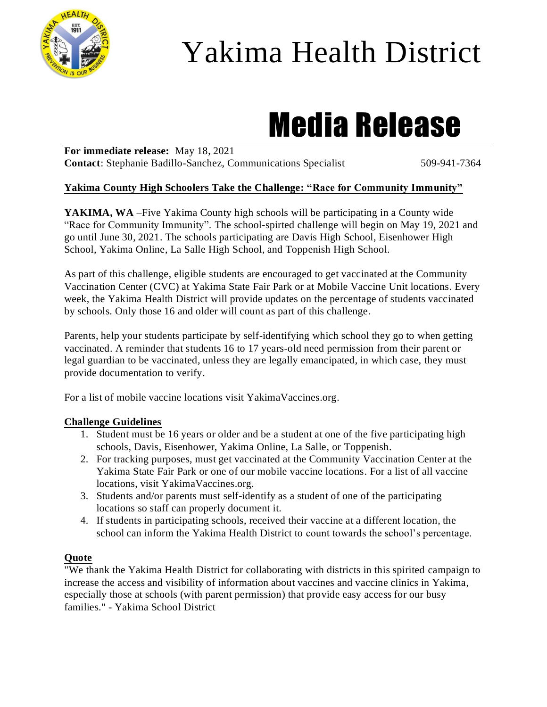

## Yakima Health District

# Media Release

**For immediate release:** May 18, 2021 **Contact:** Stephanie Badillo-Sanchez, Communications Specialist 509-941-7364

#### **Yakima County High Schoolers Take the Challenge: "Race for Community Immunity"**

**YAKIMA, WA** –Five Yakima County high schools will be participating in a County wide "Race for Community Immunity". The school-spirted challenge will begin on May 19, 2021 and go until June 30, 2021. The schools participating are Davis High School, Eisenhower High School, Yakima Online, La Salle High School, and Toppenish High School.

As part of this challenge, eligible students are encouraged to get vaccinated at the Community Vaccination Center (CVC) at Yakima State Fair Park or at Mobile Vaccine Unit locations. Every week, the Yakima Health District will provide updates on the percentage of students vaccinated by schools. Only those 16 and older will count as part of this challenge.

Parents, help your students participate by self-identifying which school they go to when getting vaccinated. A reminder that students 16 to 17 years-old need permission from their parent or legal guardian to be vaccinated, unless they are legally emancipated, in which case, they must provide documentation to verify.

For a list of mobile vaccine locations visit YakimaVaccines.org.

#### **Challenge Guidelines**

- 1. Student must be 16 years or older and be a student at one of the five participating high schools, Davis, Eisenhower, Yakima Online, La Salle, or Toppenish.
- 2. For tracking purposes, must get vaccinated at the Community Vaccination Center at the Yakima State Fair Park or one of our mobile vaccine locations. For a list of all vaccine locations, visit YakimaVaccines.org.
- 3. Students and/or parents must self-identify as a student of one of the participating locations so staff can properly document it.
- 4. If students in participating schools, received their vaccine at a different location, the school can inform the Yakima Health District to count towards the school's percentage.

#### **Quote**

"We thank the Yakima Health District for collaborating with districts in this spirited campaign to increase the access and visibility of information about vaccines and vaccine clinics in Yakima, especially those at schools (with parent permission) that provide easy access for our busy families." - Yakima School District